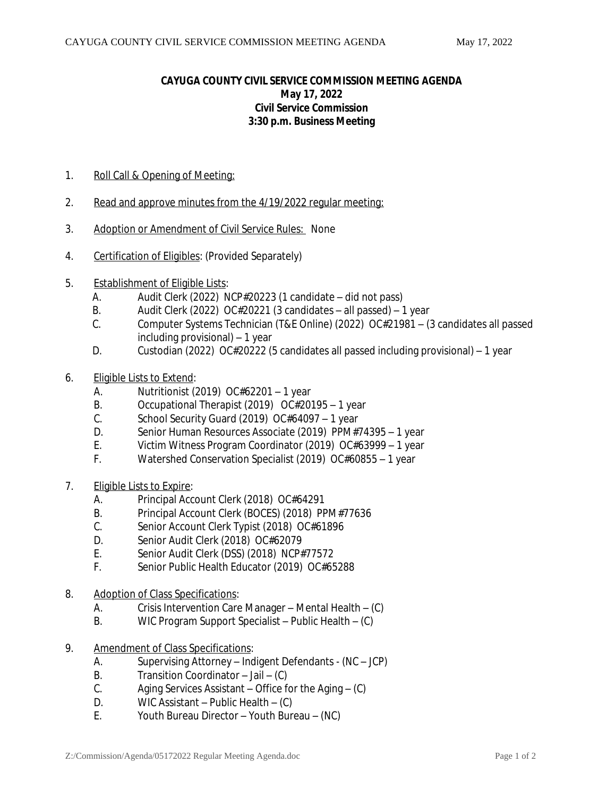## **CAYUGA COUNTY CIVIL SERVICE COMMISSION MEETING AGENDA May 17, 2022 Civil Service Commission 3:30 p.m. Business Meeting**

- 1. Roll Call & Opening of Meeting:
- 2. Read and approve minutes from the 4/19/2022 regular meeting:
- 3. Adoption or Amendment of Civil Service Rules: None
- 4. Certification of Eligibles: (Provided Separately)
- 5. Establishment of Eligible Lists:
	- A. Audit Clerk (2022) NCP#20223 (1 candidate did not pass)
	- B. Audit Clerk (2022) OC#20221 (3 candidates all passed) 1 year<br>C. Computer Systems Technician (T&F Online) (2022) OC#21981 (
	- C. Computer Systems Technician (T&E Online) (2022) OC#21981 (3 candidates all passed including provisional) – 1 year
	- D. Custodian (2022) OC#20222 (5 candidates all passed including provisional) 1 year
- 6. Eligible Lists to Extend:
	- A. Nutritionist (2019) OC#62201 1 year
	- B. Occupational Therapist (2019) OC#20195 1 year
	- C. School Security Guard (2019) OC#64097 1 year
	- D. Senior Human Resources Associate (2019) PPM#74395 1 year
	- E. Victim Witness Program Coordinator (2019) OC#63999 1 year
	- F. Watershed Conservation Specialist (2019) OC#60855 1 year
- 7. Eligible Lists to Expire:
	- A. Principal Account Clerk (2018) OC#64291
	- B. Principal Account Clerk (BOCES) (2018) PPM#77636<br>C. Senior Account Clerk Typist (2018) OC#61896
	- Senior Account Clerk Typist (2018) OC#61896
	- D. Senior Audit Clerk (2018) OC#62079
	- E. Senior Audit Clerk (DSS) (2018) NCP#77572
	- F. Senior Public Health Educator (2019) OC#65288
- 8. Adoption of Class Specifications:
	- A. Crisis Intervention Care Manager Mental Health (C)<br>B. WIC Program Support Specialist Public Health (C)
	- WIC Program Support Specialist Public Health (C)
- 9. Amendment of Class Specifications:
	- A. Supervising Attorney Indigent Defendants (NC JCP)
	- B. Transition Coordinator Jail (C)
	- C. Aging Services Assistant Office for the Aging (C)
	- D. WIC Assistant Public Health (C)
	- E. Youth Bureau Director Youth Bureau (NC)